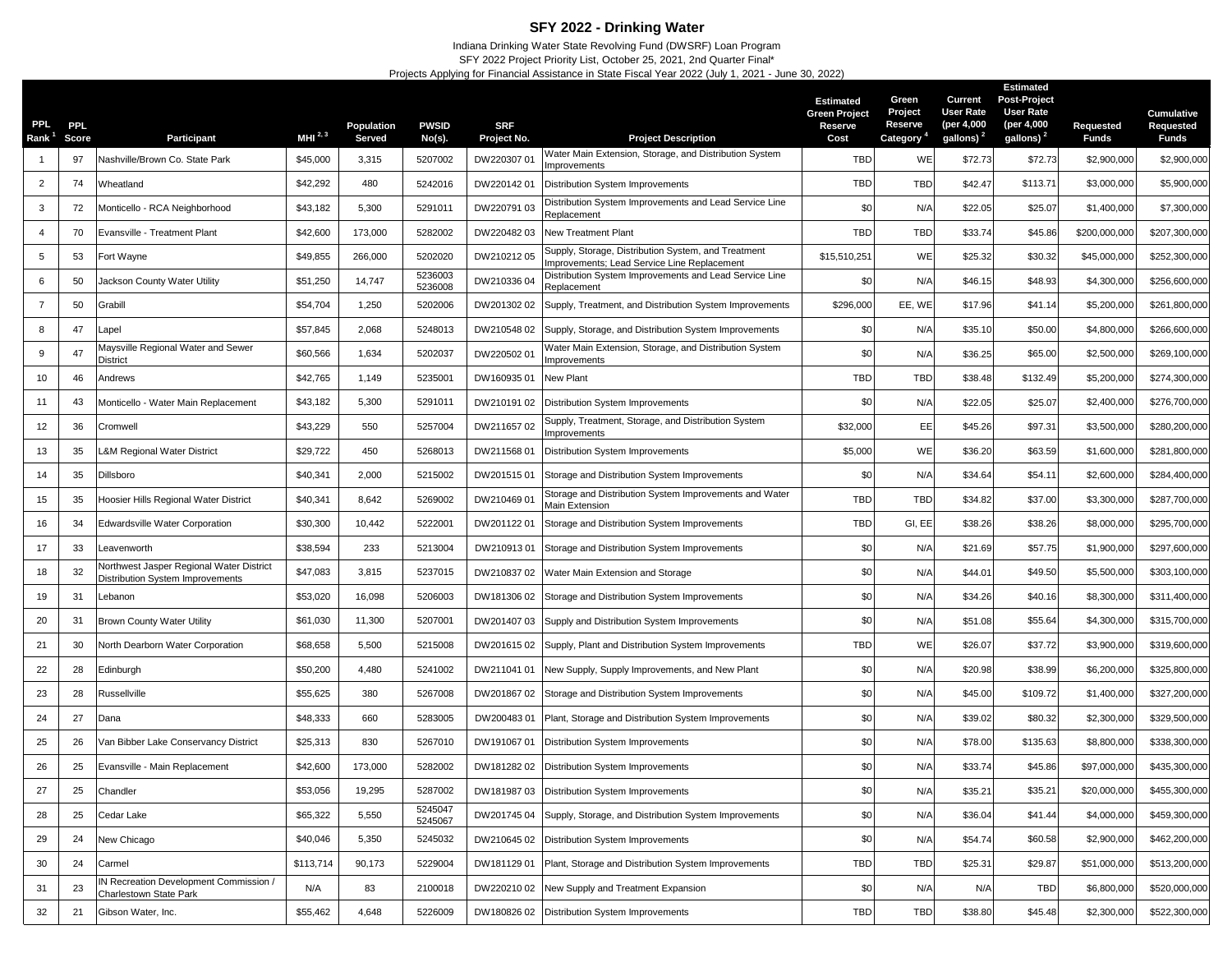## **SFY 2022 - Drinking Water**

Indiana Drinking Water State Revolving Fund (DWSRF) Loan Program SFY 2022 Project Priority List, October 25, 2021, 2nd Quarter Final\* Projects Applying for Financial Assistance in State Fiscal Year 2022 (July 1, 2021 - June 30, 2022)

| PPI.<br>Rank <sup>1</sup> | <b>PPL</b><br>Score | Participant                                                                         | MHI $^{2,3}$ | Population<br>Served | <b>PWSID</b><br>No(s). | <b>SRF</b><br>Project No. | <b>Project Description</b>                                                                         | <b>Estimated</b><br><b>Green Project</b><br>Reserve<br>Cost | Green<br>Project<br>Reserve<br>Category <sup>4</sup> | Current<br><b>User Rate</b><br>(per 4,000<br>gallons) <sup>2</sup> | <b>Estimated</b><br><b>Post-Project</b><br><b>User Rate</b><br>(per 4,000<br>gallons) <sup>2</sup> | Requested<br><b>Funds</b> | Cumulative<br>Requested<br><b>Funds</b> |
|---------------------------|---------------------|-------------------------------------------------------------------------------------|--------------|----------------------|------------------------|---------------------------|----------------------------------------------------------------------------------------------------|-------------------------------------------------------------|------------------------------------------------------|--------------------------------------------------------------------|----------------------------------------------------------------------------------------------------|---------------------------|-----------------------------------------|
|                           | 97                  | Nashville/Brown Co. State Park                                                      | \$45,000     | 3,315                | 5207002                | DW220307 01               | Water Main Extension, Storage, and Distribution System                                             | <b>TBD</b>                                                  | WE                                                   | \$72.73                                                            | \$72.73                                                                                            | \$2,900,000               | \$2,900,000                             |
| 2                         | 74                  | Wheatland                                                                           | \$42,292     | 480                  | 5242016                | DW22014201                | mprovements<br>Distribution System Improvements                                                    | TBD                                                         | <b>TBD</b>                                           | \$42.47                                                            | \$113.71                                                                                           | \$3,000,000               | \$5,900,000                             |
| 3                         | 72                  | Monticello - RCA Neighborhood                                                       | \$43,182     | 5,300                | 5291011                | DW220791 03               | Distribution System Improvements and Lead Service Line<br>Replacement                              | \$0                                                         | N/A                                                  | \$22.05                                                            | \$25.07                                                                                            | \$1,400,000               | \$7,300,000                             |
| $\overline{4}$            | 70                  | Evansville - Treatment Plant                                                        | \$42,600     | 173,000              | 5282002                | DW22048203                | <b>New Treatment Plant</b>                                                                         | <b>TBD</b>                                                  | <b>TBD</b>                                           | \$33.74                                                            | \$45.86                                                                                            | \$200,000,000             | \$207,300,000                           |
| 5                         | 53                  | Fort Wayne                                                                          | \$49,855     | 266,000              | 5202020                | DW21021205                | Supply, Storage, Distribution System, and Treatment<br>Improvements; Lead Service Line Replacement | \$15,510,251                                                | WE                                                   | \$25.32                                                            | \$30.32                                                                                            | \$45,000,000              | \$252,300,000                           |
| 6                         | 50                  | Jackson County Water Utility                                                        | \$51,250     | 14,747               | 5236003<br>5236008     | DW21033604                | Distribution System Improvements and Lead Service Line<br>Replacement                              | \$0                                                         | N/A                                                  | \$46.15                                                            | \$48.93                                                                                            | \$4,300,000               | \$256,600,000                           |
| $\overline{7}$            | 50                  | Grabill                                                                             | \$54,704     | 1,250                | 5202006                | DW201302 02               | Supply, Treatment, and Distribution System Improvements                                            | \$296,000                                                   | EE, WE                                               | \$17.96                                                            | \$41.14                                                                                            | \$5,200,000               | \$261,800,000                           |
| 8                         | 47                  | _apel                                                                               | \$57,845     | 2,068                | 5248013                | DW210548 02               | Supply, Storage, and Distribution System Improvements                                              | \$0                                                         | N/A                                                  | \$35.10                                                            | \$50.00                                                                                            | \$4,800,000               | \$266,600,000                           |
| 9                         | 47                  | Maysville Regional Water and Sewer<br>District                                      | \$60,566     | 1,634                | 5202037                | DW22050201                | Water Main Extension, Storage, and Distribution System<br>Improvements                             | \$0                                                         | N/A                                                  | \$36.25                                                            | \$65.00                                                                                            | \$2,500,000               | \$269,100,000                           |
| 10                        | 46                  | Andrews                                                                             | \$42,765     | 1,149                | 5235001                | DW16093501                | <b>New Plant</b>                                                                                   | <b>TBD</b>                                                  | <b>TBD</b>                                           | \$38.48                                                            | \$132.49                                                                                           | \$5,200,000               | \$274,300,000                           |
| 11                        | 43                  | Monticello - Water Main Replacement                                                 | \$43,182     | 5,300                | 5291011                | DW210191 02               | Distribution System Improvements                                                                   | \$0                                                         | N/A                                                  | \$22.05                                                            | \$25.07                                                                                            | \$2,400,000               | \$276,700,000                           |
| 12                        | 36                  | Cromwell                                                                            | \$43,229     | 550                  | 5257004                | DW21165702                | Supply, Treatment, Storage, and Distribution System<br>mprovements                                 | \$32,000                                                    | EE                                                   | \$45.26                                                            | \$97.31                                                                                            | \$3,500,000               | \$280,200,000                           |
| 13                        | 35                  | L&M Regional Water District                                                         | \$29,722     | 450                  | 5268013                | DW21156801                | Distribution System Improvements                                                                   | \$5,000                                                     | WE                                                   | \$36.20                                                            | \$63.59                                                                                            | \$1,600,000               | \$281,800,000                           |
| 14                        | 35                  | Dillsboro                                                                           | \$40,341     | 2,000                | 5215002                | DW20151501                | Storage and Distribution System Improvements                                                       | \$0                                                         | N/A                                                  | \$34.64                                                            | \$54.1'                                                                                            | \$2,600,000               | \$284,400,000                           |
| 15                        | 35                  | Hoosier Hills Regional Water District                                               | \$40,341     | 8,642                | 5269002                | DW21046901                | Storage and Distribution System Improvements and Water<br><b>Main Extension</b>                    | <b>TBD</b>                                                  | <b>TBD</b>                                           | \$34.82                                                            | \$37.00                                                                                            | \$3,300,000               | \$287,700,000                           |
| 16                        | 34                  | <b>Edwardsville Water Corporation</b>                                               | \$30,300     | 10,442               | 5222001                | DW20112201                | Storage and Distribution System Improvements                                                       | <b>TBD</b>                                                  | GI, EE                                               | \$38.26                                                            | \$38.26                                                                                            | \$8,000,000               | \$295,700,000                           |
| 17                        | 33                  | Leavenworth                                                                         | \$38,594     | 233                  | 5213004                | DW21091301                | Storage and Distribution System Improvements                                                       | \$0                                                         | N/A                                                  | \$21.69                                                            | \$57.75                                                                                            | \$1,900,000               | \$297,600,000                           |
| 18                        | 32                  | <b>Northwest Jasper Regional Water District</b><br>Distribution System Improvements | \$47,083     | 3,815                | 5237015                | DW210837 02               | Water Main Extension and Storage                                                                   | \$0                                                         | N/A                                                  | \$44.0'                                                            | \$49.50                                                                                            | \$5,500,000               | \$303,100,000                           |
| 19                        | 31                  | Lebanon                                                                             | \$53,020     | 16,098               | 5206003                | DW18130602                | Storage and Distribution System Improvements                                                       | \$0                                                         | N/A                                                  | \$34.26                                                            | \$40.16                                                                                            | \$8,300,000               | \$311,400,000                           |
| 20                        | 31                  | <b>Brown County Water Utility</b>                                                   | \$61,030     | 11,300               | 5207001                | DW201407 03               | Supply and Distribution System Improvements                                                        | \$0                                                         | N/A                                                  | \$51.08                                                            | \$55.64                                                                                            | \$4,300,000               | \$315,700,000                           |
| 21                        | 30                  | <b>North Dearborn Water Corporation</b>                                             | \$68,658     | 5,500                | 5215008                | DW20161502                | Supply, Plant and Distribution System Improvements                                                 | <b>TBD</b>                                                  | WE                                                   | \$26.07                                                            | \$37.72                                                                                            | \$3,900,000               | \$319,600,000                           |
| 22                        | 28                  | Edinburgh                                                                           | \$50,200     | 4,480                | 5241002                | DW211041 01               | New Supply, Supply Improvements, and New Plant                                                     | \$0                                                         | N/A                                                  | \$20.98                                                            | \$38.99                                                                                            | \$6,200,000               | \$325,800,000                           |
| 23                        | 28                  | Russellville                                                                        | \$55,625     | 380                  | 5267008                | DW20186702                | Storage and Distribution System Improvements                                                       | \$0                                                         | N/A                                                  | \$45.00                                                            | \$109.72                                                                                           | \$1,400,000               | \$327,200,000                           |
| 24                        | 27                  | Dana                                                                                | \$48,333     | 660                  | 5283005                | DW20048301                | Plant, Storage and Distribution System Improvements                                                | \$0                                                         | N/A                                                  | \$39.02                                                            | \$80.32                                                                                            | \$2,300,000               | \$329,500,000                           |
| 25                        | 26                  | Van Bibber Lake Conservancy District                                                | \$25,313     | 830                  | 5267010                | DW19106701                | Distribution System Improvements                                                                   | \$0                                                         | N/A                                                  | \$78.00                                                            | \$135.63                                                                                           | \$8,800,000               | \$338,300,000                           |
| 26                        | 25                  | Evansville - Main Replacement                                                       | \$42,600     | 173,000              | 5282002                |                           | DW181282 02 Distribution System Improvements                                                       | \$0                                                         | N/A                                                  | \$33.74                                                            | \$45.86                                                                                            | \$97,000,000              | \$435,300,000                           |
| 27                        | 25                  | Chandler                                                                            | \$53,056     | 19,295               | 5287002                |                           | DW181987 03 Distribution System Improvements                                                       | \$0                                                         | N/A                                                  | \$35.21                                                            | \$35.21                                                                                            | \$20,000,000              | \$455,300,000                           |
| 28                        | 25                  | Cedar Lake                                                                          | \$65,322     | 5,550                | 5245047<br>5245067     | DW20174504                | Supply, Storage, and Distribution System Improvements                                              | \$0                                                         | N/A                                                  | \$36.04                                                            | \$41.44                                                                                            | \$4,000,000               | \$459,300,000                           |
| 29                        | 24                  | New Chicago                                                                         | \$40,046     | 5,350                | 5245032                | DW21064502                | Distribution System Improvements                                                                   | \$0                                                         | N/A                                                  | \$54.74                                                            | \$60.58                                                                                            | \$2,900,000               | \$462,200,000                           |
| 30                        | 24                  | Carmel                                                                              | \$113,714    | 90,173               | 5229004                | DW18112901                | Plant, Storage and Distribution System Improvements                                                | <b>TBD</b>                                                  | <b>TBD</b>                                           | \$25.31                                                            | \$29.87                                                                                            | \$51,000,000              | \$513,200,000                           |
| 31                        | 23                  | N Recreation Development Commission /<br>Charlestown State Park                     | N/A          | 83                   | 2100018                | DW220210 02               | New Supply and Treatment Expansion                                                                 | \$0                                                         | N/A                                                  | N/A                                                                | <b>TBD</b>                                                                                         | \$6,800,000               | \$520,000,000                           |
| 32                        | 21                  | Gibson Water, Inc.                                                                  | \$55,462     | 4,648                | 5226009                |                           | DW180826 02 Distribution System Improvements                                                       | TBD                                                         | TBD                                                  | \$38.80                                                            | \$45.48                                                                                            | \$2,300,000               | \$522,300,000                           |